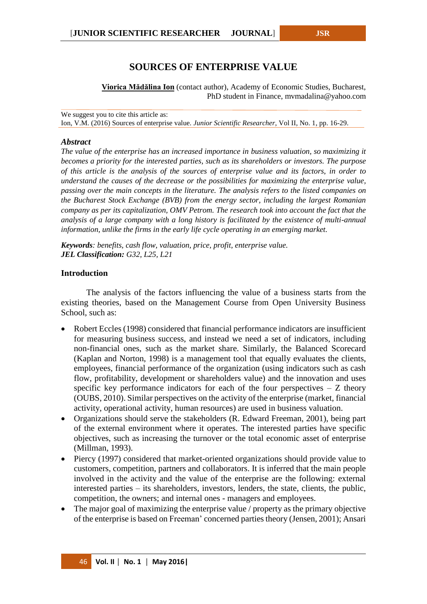# **SOURCES OF ENTERPRISE VALUE**

**Viorica Mădălina Ion** (contact author), Academy of Economic Studies, Bucharest, PhD student in Finance, mvmadalina@yahoo.com

We suggest you to cite this article as: Ion, V.M. (2016) Sources of enterprise value. *Junior Scientific Researcher*, Vol II, No. 1, pp. 16-29.

#### *Abstract*

*The value of the enterprise has an increased importance in business valuation, so maximizing it becomes a priority for the interested parties, such as its shareholders or investors. The purpose of this article is the analysis of the sources of enterprise value and its factors*, *in order to understand the causes of the decrease or the possibilities for maximizing the enterprise value, passing over the main concepts in the literature. The analysis refers to the listed companies on the Bucharest Stock Exchange (BVB) from the energy sector, including the largest Romanian company as per its capitalization, OMV Petrom. The research took into account the fact that the analysis of a large company with a long history is facilitated by the existence of multi-annual information, unlike the firms in the early life cycle operating in an emerging market.*

*Keywords: benefits, cash flow, valuation, price, profit, enterprise value. JEL Classification: G32, L25, L21*

#### **Introduction**

The analysis of the factors influencing the value of a business starts from the existing theories, based on the Management Course from Open University Business School, such as:

- Robert Eccles (1998) considered that financial performance indicators are insufficient for measuring business success, and instead we need a set of indicators, including non-financial ones, such as the market share. Similarly, the Balanced Scorecard (Kaplan and Norton, 1998) is a management tool that equally evaluates the clients, employees, financial performance of the organization (using indicators such as cash flow, profitability, development or shareholders value) and the innovation and uses specific key performance indicators for each of the four perspectives  $-$  Z theory (OUBS, 2010). Similar perspectives on the activity of the enterprise (market, financial activity, operational activity, human resources) are used in business valuation.
- Organizations should serve the stakeholders (R. Edward Freeman, 2001), being part of the external environment where it operates. The interested parties have specific objectives, such as increasing the turnover or the total economic asset of enterprise (Millman, 1993).
- Piercy (1997) considered that market-oriented organizations should provide value to customers, competition, partners and collaborators. It is inferred that the main people involved in the activity and the value of the enterprise are the following: external interested parties – its shareholders, investors, lenders, the state, clients, the public, competition, the owners; and internal ones - managers and employees.
- The major goal of maximizing the enterprise value / property as the primary objective of the enterprise is based on Freeman' concerned parties theory (Jensen, 2001); Ansari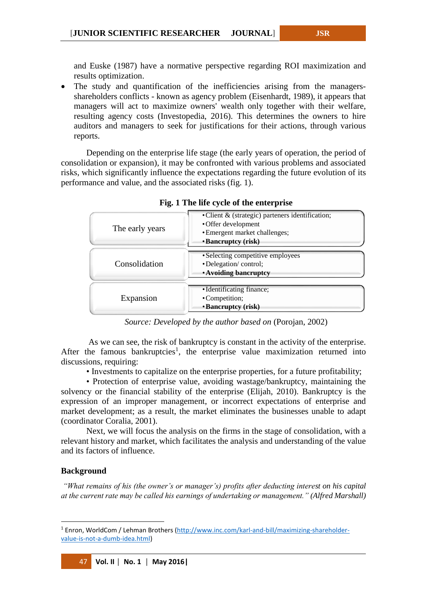and Euske (1987) have a normative perspective regarding ROI maximization and results optimization.

 The study and quantification of the inefficiencies arising from the managersshareholders conflicts - known as agency problem (Eisenhardt, 1989), it appears that managers will act to maximize owners' wealth only together with their welfare, resulting agency costs (Investopedia, 2016). This determines the owners to hire auditors and managers to seek for justifications for their actions, through various reports.

Depending on the enterprise life stage (the early years of operation, the period of consolidation or expansion), it may be confronted with various problems and associated risks, which significantly influence the expectations regarding the future evolution of its performance and value, and the associated risks (fig. 1).

| o               |                                                                                                                                |
|-----------------|--------------------------------------------------------------------------------------------------------------------------------|
| The early years | • Client & (strategic) parteners identification;<br>•Offer development<br>• Emergent market challenges;<br>• Bancruptcy (risk) |
| Consolidation   | • Selecting competitive employees<br>• Delegation/control;<br><b>Avoiding bancruptcy</b>                                       |
| Expansion       | • Identificating finance;<br>•Competition;<br>• Bancruptcy (risk)                                                              |

**Fig. 1 The life cycle of the enterprise**

*Source: Developed by the author based on* (Porojan, 2002)

As we can see, the risk of bankruptcy is constant in the activity of the enterprise. After the famous bankruptcies<sup>1</sup>, the enterprise value maximization returned into discussions, requiring:

• Investments to capitalize on the enterprise properties, for a future profitability;

• Protection of enterprise value, avoiding wastage/bankruptcy, maintaining the solvency or the financial stability of the enterprise (Elijah, 2010). Bankruptcy is the expression of an improper management, or incorrect expectations of enterprise and market development; as a result, the market eliminates the businesses unable to adapt (coordinator Coralia, 2001).

Next, we will focus the analysis on the firms in the stage of consolidation, with a relevant history and market, which facilitates the analysis and understanding of the value and its factors of influence.

## **Background**

 $\overline{a}$ 

*"What remains of his (the owner's or manager's) profits after deducting interest on his capital at the current rate may be called his earnings of undertaking or management." (Alfred Marshall)*

<sup>1</sup> Enron, WorldCom / Lehman Brothers [\(http://www.inc.com/karl-and-bill/maximizing-shareholder](http://www.inc.com/karl-and-bill/maximizing-shareholder-value-is-not-a-dumb-idea.html)[value-is-not-a-dumb-idea.html\)](http://www.inc.com/karl-and-bill/maximizing-shareholder-value-is-not-a-dumb-idea.html)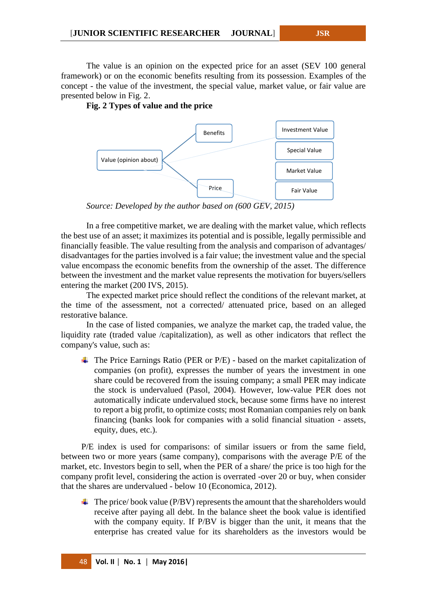The value is an opinion on the expected price for an asset (SEV 100 general framework) or on the economic benefits resulting from its possession. Examples of the concept - the value of the investment, the special value, market value, or fair value are presented below in Fig. 2.

**Fig. 2 Types of value and the price**



*Source: Developed by the author based on (600 GEV, 2015)* 

In a free competitive market, we are dealing with the market value, which reflects the best use of an asset; it maximizes its potential and is possible, legally permissible and financially feasible. The value resulting from the analysis and comparison of advantages/ disadvantages for the parties involved is a fair value; the investment value and the special value encompass the economic benefits from the ownership of the asset. The difference between the investment and the market value represents the motivation for buyers/sellers entering the market (200 IVS, 2015).

The expected market price should reflect the conditions of the relevant market, at the time of the assessment, not a corrected/ attenuated price, based on an alleged restorative balance.

In the case of listed companies, we analyze the market cap, the traded value, the liquidity rate (traded value /capitalization), as well as other indicators that reflect the company's value, such as:

 $\overline{\phantom{a} \overline{\phantom{a}}}$  The Price Earnings Ratio (PER or P/E) - based on the market capitalization of companies (on profit), expresses the number of years the investment in one share could be recovered from the issuing company; a small PER may indicate the stock is undervalued (Pasol, 2004). However, low-value PER does not automatically indicate undervalued stock, because some firms have no interest to report a big profit, to optimize costs; most Romanian companies rely on bank financing (banks look for companies with a solid financial situation - assets, equity, dues, etc.).

P/E index is used for comparisons: of similar issuers or from the same field, between two or more years (same company), comparisons with the average P/E of the market, etc. Investors begin to sell, when the PER of a share/ the price is too high for the company profit level, considering the action is overrated -over 20 or buy, when consider that the shares are undervalued - below 10 (Economica, 2012).

 $\overline{\text{I}}$  The price/book value (P/BV) represents the amount that the shareholders would receive after paying all debt. In the balance sheet the book value is identified with the company equity. If P/BV is bigger than the unit, it means that the enterprise has created value for its shareholders as the investors would be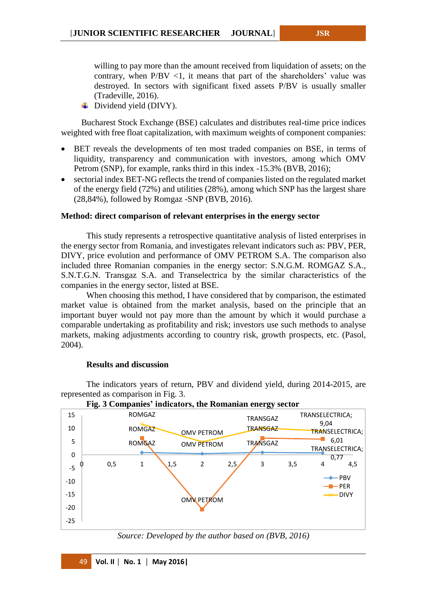willing to pay more than the amount received from liquidation of assets; on the contrary, when  $P/BV < 1$ , it means that part of the shareholders' value was destroyed. In sectors with significant fixed assets P/BV is usually smaller (Tradeville, 2016).

**↓** Dividend yield (DIVY).

Bucharest Stock Exchange (BSE) calculates and distributes real-time price indices weighted with free float capitalization, with maximum weights of component companies:

- BET reveals the developments of ten most traded companies on BSE, in terms of liquidity, transparency and communication with investors, among which OMV Petrom (SNP), for example, ranks third in this index -15.3% (BVB, 2016);
- sectorial index BET-NG reflects the trend of companies listed on the regulated market of the energy field (72%) and utilities (28%), among which SNP has the largest share (28,84%), followed by Romgaz -SNP (BVB, 2016).

## **Method: direct comparison of relevant enterprises in the energy sector**

This study represents a retrospective quantitative analysis of listed enterprises in the energy sector from Romania, and investigates relevant indicators such as: PBV, PER, DIVY, price evolution and performance of OMV PETROM S.A. The comparison also included three Romanian companies in the energy sector: S.N.G.M. ROMGAZ S.A., S.N.T.G.N. Transgaz S.A. and Transelectrica by the similar characteristics of the companies in the energy sector, listed at BSE.

When choosing this method, I have considered that by comparison, the estimated market value is obtained from the market analysis, based on the principle that an important buyer would not pay more than the amount by which it would purchase a comparable undertaking as profitability and risk; investors use such methods to analyse markets, making adjustments according to country risk, growth prospects, etc. (Pasol, 2004).

## **Results and discussion**

The indicators years of return, PBV and dividend yield, during 2014-2015, are represented as comparison in Fig. 3.



**Fig. 3 Companies' indicators, the Romanian energy sector** 

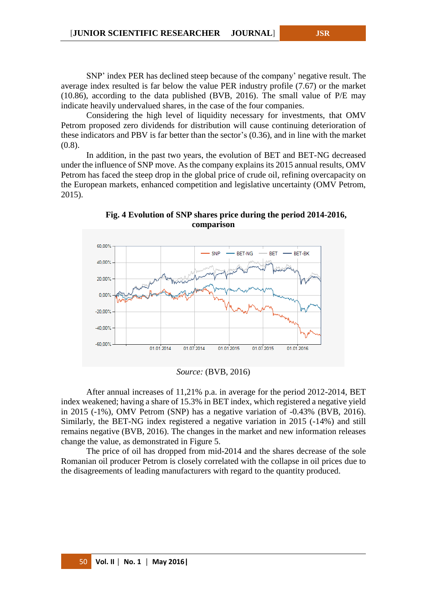SNP' index PER has declined steep because of the company' negative result. The average index resulted is far below the value PER industry profile (7.67) or the market (10.86), according to the data published (BVB, 2016). The small value of P/E may indicate heavily undervalued shares, in the case of the four companies.

Considering the high level of liquidity necessary for investments, that OMV Petrom proposed zero dividends for distribution will cause continuing deterioration of these indicators and PBV is far better than the sector's (0.36), and in line with the market (0.8).

In addition, in the past two years, the evolution of BET and BET-NG decreased under the influence of SNP move. As the company explains its 2015 annual results, OMV Petrom has faced the steep drop in the global price of crude oil, refining overcapacity on the European markets, enhanced competition and legislative uncertainty (OMV Petrom, 2015).



**Fig. 4 Evolution of SNP shares price during the period 2014-2016, comparison**

*Source:* (BVB, 2016)

After annual increases of 11,21% p.a. in average for the period 2012-2014, BET index weakened; having a share of 15.3% in BET index, which registered a negative yield in 2015 (-1%), OMV Petrom (SNP) has a negative variation of -0.43% (BVB, 2016). Similarly, the BET-NG index registered a negative variation in 2015 (-14%) and still remains negative (BVB, 2016). The changes in the market and new information releases change the value, as demonstrated in Figure 5.

The price of oil has dropped from mid-2014 and the shares decrease of the sole Romanian oil producer Petrom is closely correlated with the collapse in oil prices due to the disagreements of leading manufacturers with regard to the quantity produced.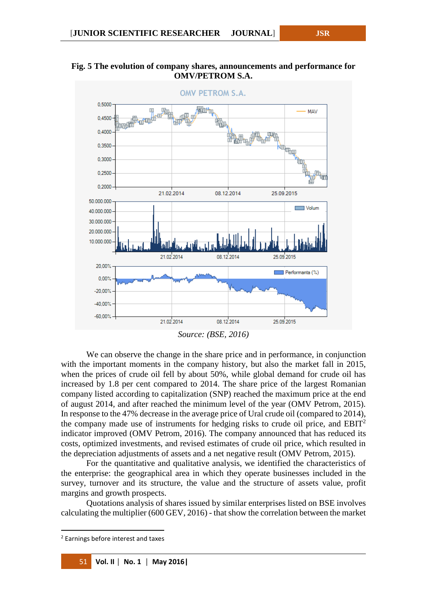



*Source: (BSE, 2016)*

We can observe the change in the share price and in performance, in conjunction with the important moments in the company history, but also the market fall in 2015, when the prices of crude oil fell by about 50%, while global demand for crude oil has increased by 1.8 per cent compared to 2014. The share price of the largest Romanian company listed according to capitalization (SNP) reached the maximum price at the end of august 2014, and after reached the minimum level of the year (OMV Petrom, 2015). In response to the 47% decrease in the average price of Ural crude oil (compared to 2014), the company made use of instruments for hedging risks to crude oil price, and  $EBIT<sup>2</sup>$ indicator improved (OMV Petrom, 2016). The company announced that has reduced its costs, optimized investments, and revised estimates of crude oil price, which resulted in the depreciation adjustments of assets and a net negative result (OMV Petrom, 2015).

For the quantitative and qualitative analysis, we identified the characteristics of the enterprise: the geographical area in which they operate businesses included in the survey, turnover and its structure, the value and the structure of assets value, profit margins and growth prospects.

Quotations analysis of shares issued by similar enterprises listed on BSE involves calculating the multiplier (600 GEV, 2016) - that show the correlation between the market

**.** 

<sup>2</sup> Earnings before interest and taxes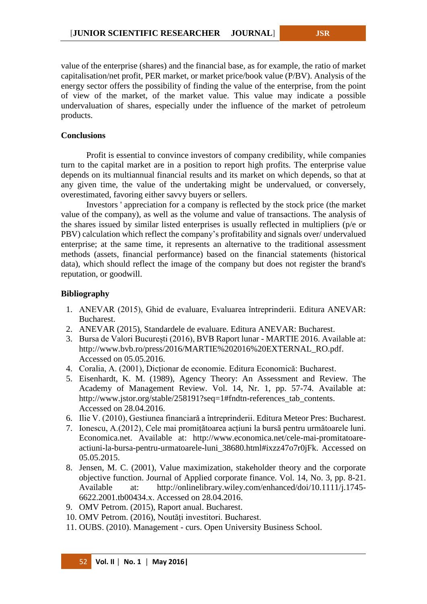value of the enterprise (shares) and the financial base, as for example, the ratio of market capitalisation/net profit, PER market, or market price/book value (P/BV). Analysis of the energy sector offers the possibility of finding the value of the enterprise, from the point of view of the market, of the market value. This value may indicate a possible undervaluation of shares, especially under the influence of the market of petroleum products.

#### **Conclusions**

Profit is essential to convince investors of company credibility, while companies turn to the capital market are in a position to report high profits. The enterprise value depends on its multiannual financial results and its market on which depends, so that at any given time, the value of the undertaking might be undervalued, or conversely, overestimated, favoring either savvy buyers or sellers.

Investors ' appreciation for a company is reflected by the stock price (the market value of the company), as well as the volume and value of transactions. The analysis of the shares issued by similar listed enterprises is usually reflected in multipliers (p/e or PBV) calculation which reflect the company's profitability and signals over/ undervalued enterprise; at the same time, it represents an alternative to the traditional assessment methods (assets, financial performance) based on the financial statements (historical data), which should reflect the image of the company but does not register the brand's reputation, or goodwill.

## **Bibliography**

- 1. ANEVAR (2015), Ghid de evaluare, Evaluarea întreprinderii. Editura ANEVAR: Bucharest.
- 2. ANEVAR (2015), Standardele de evaluare. Editura ANEVAR: Bucharest.
- 3. Bursa de Valori București (2016), BVB Raport lunar MARTIE 2016. Available at: [http://www.bvb.ro/press/2016/MARTIE%202016%20EXTERNAL\\_RO.pdf.](http://www.bvb.ro/press/2016/MARTIE%202016%20EXTERNAL_RO.pdf) Accessed on 05.05.2016.
- 4. Coralia, A. (2001), Dicționar de economie. Editura Economică: Bucharest.
- 5. Eisenhardt, K. M. (1989), Agency Theory: An Assessment and Review. The Academy of Management Review. Vol. 14, Nr. 1, pp. 57-74. Available at: [http://www.jstor.org/stable/258191?seq=1#fndtn-references\\_tab\\_contents.](http://www.jstor.org/stable/258191?seq=1#fndtn-references_tab_contents) Accessed on 28.04.2016.
- 6. Ilie V. (2010), Gestiunea financiară a întreprinderii. Editura Meteor Pres: Bucharest.
- 7. Ionescu, A.(2012), Cele mai promițătoarea acțiuni la bursă pentru următoarele luni. Economica.net. Available at: http://www.economica.net/cele-mai-promitatoareactiuni-la-bursa-pentru-urmatoarele-luni\_38680.html#ixzz47o7r0jFk. Accessed on 05.05.2015.
- 8. Jensen, M. C. (2001), Value maximization, stakeholder theory and the corporate objective function. Journal of Applied corporate finance. Vol. 14, No. 3, pp. 8-21. Available at: [http://onlinelibrary.wiley.com/enhanced/doi/10.1111/j.1745-](http://onlinelibrary.wiley.com/enhanced/doi/10.1111/j.1745-6622.2001.tb00434.x) [6622.2001.tb00434.x.](http://onlinelibrary.wiley.com/enhanced/doi/10.1111/j.1745-6622.2001.tb00434.x) Accessed on 28.04.2016.
- 9. OMV Petrom. (2015), Raport anual. Bucharest.
- 10. OMV Petrom. (2016), Noutăți investitori. Bucharest.
- 11. OUBS. (2010). Management curs. Open University Business School.